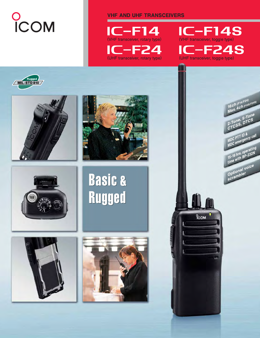# COM

**VHF AND UHF TRANSCEIVERS** 



**IC-F14S** (VHF transceiver, toggle type) **IC-F24S** (UHF transceiver, toggle type)









# **Basic & Rugged**





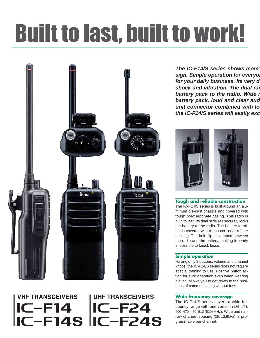# Built to last, built to work!

**UHF TRANSCEIVERS** 



IC-F14 IC-F24<br>IC-F14S IC-F24S

**VHF TRANSCEIVERS** 

*The IC-F14/S series shows Icom'* sign. Simple operation for everyo. for your daily business. Its very d *shock and vibration. The dual rai battery pack to the radio. Wide r battery pack, loud and clear aud* **unit connector combined with Ic** *the IC-F14/S series will easily exc*



**Tough and reliable construction**

The IC-F14/S series is built around an aluminum die-cast chassis and covered with tough polycarbonate casing. This radio is built to last. Its dual slide rail securely locks the battery to the radio. The battery terminal is covered with a non-corrosive rubber packing. The belt clip is clamped between the radio and the battery, making it nearly impossible to knock loose.

# **Simple operation**

Having only 3 buttons, volume and channel knobs, the IC-F14/S series does not require special training to use. Positive button action for sure operation even when wearing gloves, allows you to get down to the business of communicating without fuss.

# **Wide frequency coverage**

The IC-F14/S series covers a wide frequency range with one version (136–174, 400–470, 450–512 (520) MHz). Wide and narrow channel spacing (25, 12.5kHz) is programmable per channel.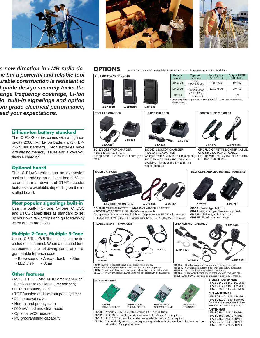

*'s new direction in LMR radio dene but a powerful and reliable tool urable construction is resistant to il guide design securely locks the range frequency coverage, Li-Ion dio, built-in signalings and option om grade electrical performance, ceed your expectations.*

# **Lithium-Ion battery standard**

The IC-F14/S series comes with a high capacity 2000mAh Li-Ion battery pack, BP-232N, as standard. Li-Ion batteries have virtually no memory issues and allows you flexible charging.

# **Optional board**

The IC-F14/S series has an expansion socket for adding an optional board. Voice scrambler, man down and DTMF decoder features are available, depending on the installed board.

# **Most popular signalings built-in**

Use the built-in 2-Tone, 5-Tone, CTCSS and DTCS capabilities as standard to set up your own talk groups and quiet stand-by when others are talking.

# **Multiple 2-Tone, Multiple 5-Tone**

Up to 10 2-Tone/8 5-Tone codes can be decoded on a channel. When a matched tone is received, the following items are programmable for each code.

- Beep sound Answer back Stun
- LED blink Scan

# **Other features**

- MDC PTT ID and MDC emergency call functions are available (Transmit only)
- LED low battery alert
- TOT function and lock out penalty timer
- 2 step power saver
- Normal and priority scan
- 500mW loud and clear audio
- Optional VOX headset
- PC programming capability

# **OPTIONS**

**BATTERY PACKS AND CASE <b>Battery | Battery | Type and** | Operating time<sup>\*</sup> | Output power

Some options may not be available in some countries. Please ask your dealer for details.

| BAI IERY PACKS AND CASE |           |  |  |  |
|-------------------------|-----------|--|--|--|
| <b>A BP-230N</b>        | ▲ BP-232N |  |  |  |
| <b>REGULAR CHARGER</b>  |           |  |  |  |

**BC-171** DESKTOP CHARGER + **BC-147** AC ADAPTER

▲ **BC-147**

prox.).

Charges the BP-232N in 10 hours (ap-

▲ **BC-171**

# ▲ **BP-230N** ▲ **BP-232N** ▲ **BP-240**

**Packs packs packs capacity** (VHF/UHF) (VHF/UHF)  $\mathsf{BP}\text{-}230\mathsf{N}$   $\begin{array}{|c|c|c|c|c|c|}\n\hline\n\mathsf{Z} & \mathsf{I-Ion} & \mathsf{Z} & \mathsf{Z} & \mathsf{Z} \\
\hline\n\mathsf{Z} & \mathsf{Z} & \mathsf{Z} & \mathsf{Z} \\
\hline\n\mathsf{Z} & \mathsf{Z} & \mathsf{Z} & \mathsf{Z} \\
\hline\n\mathsf{Z} & \mathsf{Z} & \mathsf{Z} & \mathsf{Z} \\
\hline\n\mathsf{Z} & \mathsf{Z} & \mathsf{Z} & \mathsf{Z} \\
\hline\n\mathsf{Z}$ BP-232N Li-Ion 16/15 hours 5W/4W BP-240  $\begin{array}{|c|c|c|c|}\n\end{array}$  AAA (LR03)  $\begin{array}{|c|c|c|}\n\end{array}$  - 1W

Operating time is approximate time (at 20°C). Tx: Rx: standby=5:5:90. Power save on.

# **RAPID CHARGER**



**BC-160** DESKTOP CHARGER + **BC-145** AC ADAPTER Charges the BP-232N in 3 hours (approx.). **BC-119N** + **AD-106** + **BC-145** is also available. : Charges the BP-232N in 3 hours (approx.).



**CP-17L** CIGARETTE LIGHTER CABLE, **OPC-515L** DC POWER CABLE For use with the BC-160 or BC-119N. (12–16V DC required). ▲ **CP-17L** ▲ **OPC-515L**

**BELT CLIPS AND LEATHER BELT HANGERS**



**BC-121N** MULTI-CHARGER + **AD-106** CHARGER ADAPTER

+ **BC-157** AC ADAPTER (Six AD-106s are required) Charges up to 6 battery packs in 3 hours (approx.) when BP-232N is attached. **OPC-656** DC POWER CABLE : For use with the BC-121N. (12–20V DC required).

**MB-93** : Swivel type belt clip. **MB-94** : Alligator type. Same as supplied. **MB-96N** : Swivel type belt hanger. **MB-96F** : Fixed type belt hanger.

▲ **MB-93**



**HS-94** : Earhook headset with flexible boom microphone. **HS-95** : Behind-the-head headset with flexible boom microphone.

- **HS-97** : Throat microphone fits around your neck and picks up speech vibration. **VS-1L** : PTT/VOX unit. Required when using these headsets with the transceiver.
	-



- **UT-108** : Provides DTMF, Selective call and ANI capabilities.
- **UT-109** : Up to 32 scrambling codes are available. Version 01 is required.
- **UT-110** : Up to 1020 scrambling codes are available. Version 01 is required. **UT-124** : Automatically sends an emergency signal when the transceiver is left in a horizon
	- tal position for a preset time.



**HM-153L** : Durable earphone-microphone with revolving clip.

- **HM-158L** : Compact and durable body with plug screw connector. **HM-159L** : Full size durable speaker microphone.
- **HM-166L** : Light-weight earphone microphone with revolving clip. **SP-13** : EARPHONE Provides clear audio in noisy environments.
	- -
		- **FA-SC56VS** : 150–162MHz **FA-SC57VS** : 160–174MHz
		- **FA-SC73US** : 450–490MHz

## **CUT ANTENNAS**

• **FA-SC61VC** : 136–174MHz • **FA-SC61UC** : 380–520MHz Cut the antenna element to tune to a specific center frequency.

### **ANTENNAS**

- **FA-SC25V** : 136–150MHz **FA-SC55V** : 150–174MHz
- 
- **FA-SC25U** : 400–430MHz • **FA-SC57U** : 430–470MHz
- **FA-SC72U** : 470–520MHz